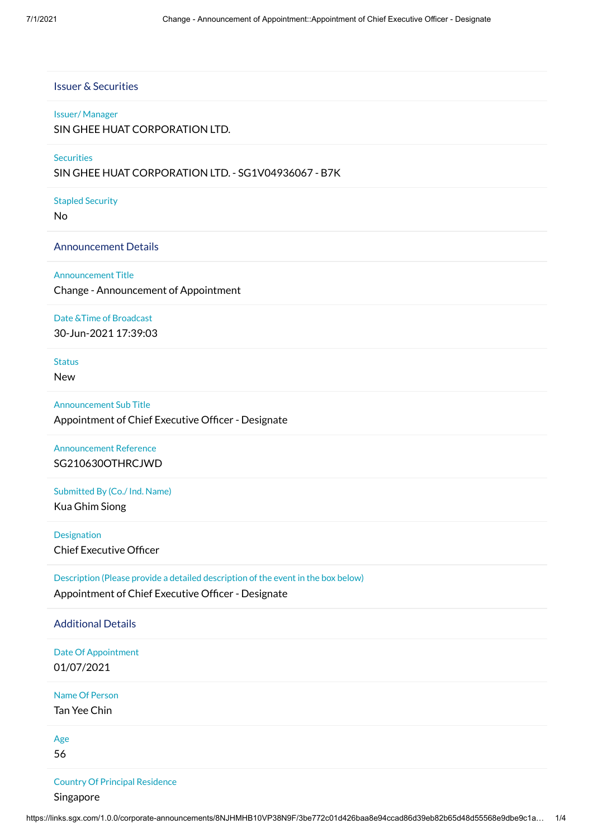## Issuer & Securities

### Issuer/ Manager

SIN GHEE HUAT CORPORATION LTD.

## **Securities**

SIN GHEE HUAT CORPORATION LTD. - SG1V04936067 - B7K

### Stapled Security

No

## Announcement Details

Announcement Title

Change - Announcement of Appointment

## Date &Time of Broadcast

30-Jun-2021 17:39:03

# Status

New

## Announcement Sub Title Appointment of Chief Executive Officer - Designate

## Announcement Reference SG210630OTHRCJWD

# Submitted By (Co./ Ind. Name)

Kua Ghim Siong

## Designation Chief Executive Officer

## Description (Please provide a detailed description of the event in the box below) Appointment of Chief Executive Officer - Designate

### Additional Details

Date Of Appointment 01/07/2021

Name Of Person

Tan Yee Chin

Age

56

## Country Of Principal Residence

Singapore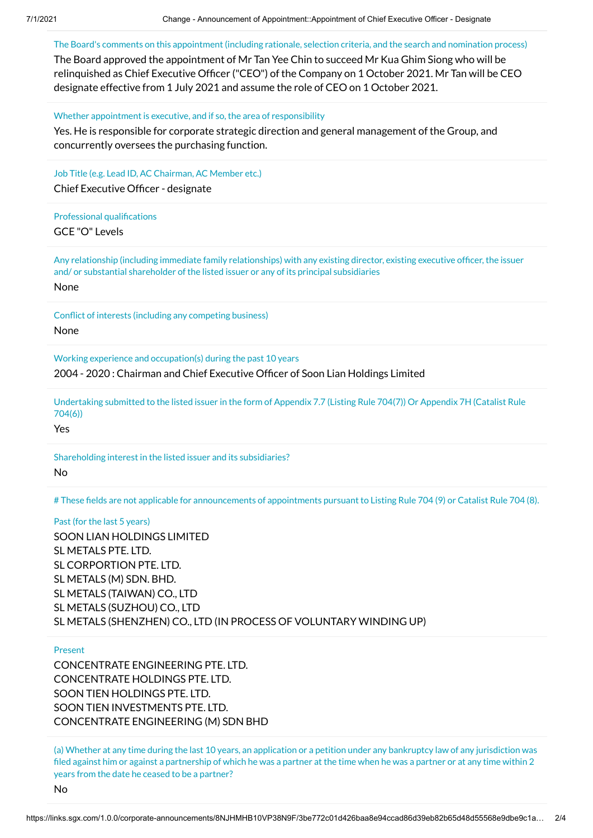The Board's comments on this appointment (including rationale, selection criteria, and the search and nomination process)

The Board approved the appointment of Mr Tan Yee Chin to succeed Mr Kua Ghim Siong who will be relinquished as Chief Executive Officer ("CEO") of the Company on 1 October 2021. Mr Tan will be CEO designate effective from 1 July 2021 and assume the role of CEO on 1 October 2021.

Whether appointment is executive, and if so, the area of responsibility

Yes. He is responsible for corporate strategic direction and general management of the Group, and concurrently oversees the purchasing function.

Job Title (e.g. Lead ID, AC Chairman, AC Member etc.) Chief Executive Officer - designate

Professional qualifications

GCE "O" Levels

Any relationship (including immediate family relationships) with any existing director, existing executive officer, the issuer and/ or substantial shareholder of the listed issuer or any of its principal subsidiaries

None

Conflict of interests (including any competing business) None

Working experience and occupation(s) during the past 10 years 2004 - 2020 : Chairman and Chief Executive Officer of Soon Lian Holdings Limited

Undertaking submitted to the listed issuer in the form of Appendix 7.7 (Listing Rule 704(7)) Or Appendix 7H (Catalist Rule 704(6))

Yes

Shareholding interest in the listed issuer and its subsidiaries? No

# These fields are not applicable for announcements of appointments pursuant to Listing Rule 704 (9) or Catalist Rule 704 (8).

Past (for the last 5 years) SOON LIAN HOLDINGS LIMITED SL METALS PTE. LTD. SL CORPORTION PTE. LTD. SL METALS (M) SDN. BHD. SL METALS (TAIWAN) CO., LTD SL METALS (SUZHOU) CO., LTD SL METALS (SHENZHEN) CO., LTD (IN PROCESS OF VOLUNTARY WINDING UP)

### Present

CONCENTRATE ENGINEERING PTE. LTD. CONCENTRATE HOLDINGS PTE. LTD. SOON TIEN HOLDINGS PTE. LTD. SOON TIEN INVESTMENTS PTE. LTD. CONCENTRATE ENGINEERING (M) SDN BHD

(a) Whether at any time during the last 10 years, an application or a petition under any bankruptcy law of any jurisdiction was filed against him or against a partnership of which he was a partner at the time when he was a partner or at any time within 2 years from the date he ceased to be a partner?

No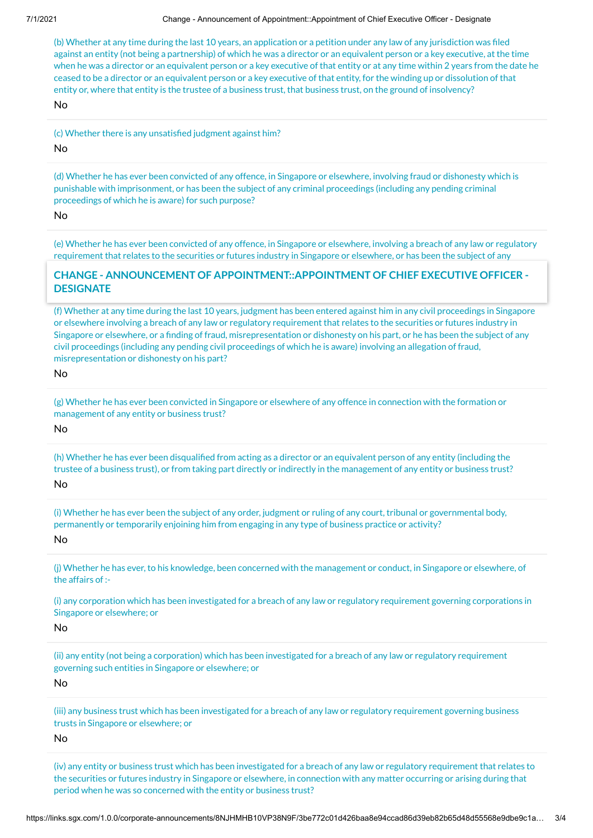#### 7/1/2021 Change - Announcement of Appointment::Appointment of Chief Executive Officer - Designate

(b) Whether at any time during the last 10 years, an application or a petition under any law of any jurisdiction was filed against an entity (not being a partnership) of which he was a director or an equivalent person or a key executive, at the time when he was a director or an equivalent person or a key executive of that entity or at any time within 2 years from the date he ceased to be a director or an equivalent person or a key executive of that entity, for the winding up or dissolution of that entity or, where that entity is the trustee of a business trust, that business trust, on the ground of insolvency?

No

(c) Whether there is any unsatisfied judgment against him?

No

(d) Whether he has ever been convicted of any offence, in Singapore or elsewhere, involving fraud or dishonesty which is punishable with imprisonment, or has been the subject of any criminal proceedings (including any pending criminal proceedings of which he is aware) for such purpose?

No

(e) Whether he has ever been convicted of any offence, in Singapore or elsewhere, involving a breach of any law or regulatory requirement that relates to the securities or futures industry in Singapore or elsewhere, or has been the subject of any

# **CHANGE - ANNOUNCEMENT OF APPOINTMENT::APPOINTMENT OF CHIEF EXECUTIVE OFFICER -**DESIGNATE

(f) Whether at any time during the last 10 years, judgment has been entered against him in any civil proceedings in Singapore or elsewhere involving a breach of any law or regulatory requirement that relates to the securities or futures industry in Singapore or elsewhere, or a finding of fraud, misrepresentation or dishonesty on his part, or he has been the subject of any civil proceedings (including any pending civil proceedings of which he is aware) involving an allegation of fraud, misrepresentation or dishonesty on his part?

No

(g) Whether he has ever been convicted in Singapore or elsewhere of any offence in connection with the formation or management of any entity or business trust?

No

(h) Whether he has ever been disqualified from acting as a director or an equivalent person of any entity (including the trustee of a business trust), or from taking part directly or indirectly in the management of any entity or business trust? No

(i) Whether he has ever been the subject of any order, judgment or ruling of any court, tribunal or governmental body, permanently or temporarily enjoining him from engaging in any type of business practice or activity?

No

(j) Whether he has ever, to his knowledge, been concerned with the management or conduct, in Singapore or elsewhere, of the affairs of :-

(i) any corporation which has been investigated for a breach of any law or regulatory requirement governing corporations in Singapore or elsewhere; or

No

(ii) any entity (not being a corporation) which has been investigated for a breach of any law or regulatory requirement governing such entities in Singapore or elsewhere; or

No

(iii) any business trust which has been investigated for a breach of any law or regulatory requirement governing business trusts in Singapore or elsewhere; or

No

(iv) any entity or business trust which has been investigated for a breach of any law or regulatory requirement that relates to the securities or futures industry in Singapore or elsewhere, in connection with any matter occurring or arising during that period when he was so concerned with the entity or business trust?